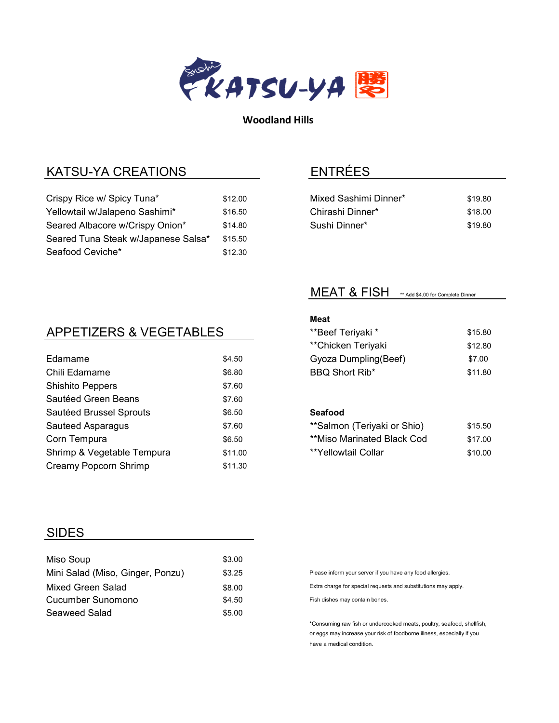

Woodland Hills

## KATSU-YA CREATIONS

| Crispy Rice w/ Spicy Tuna*          | \$12.00 |
|-------------------------------------|---------|
| Yellowtail w/Jalapeno Sashimi*      | \$16.50 |
| Seared Albacore w/Crispy Onion*     | \$14.80 |
| Seared Tuna Steak w/Japanese Salsa* | \$15.50 |
| Seafood Ceviche*                    | \$12.30 |

## ENTRÉES

| Mixed Sashimi Dinner* | \$19.80 |
|-----------------------|---------|
| Chirashi Dinner*      | \$18.00 |
| Sushi Dinner*         | \$19.80 |

### MEAT & FISH \*\* Add \$4.00 for Complete Dinner

# APPETIZERS & VEGETABLES

| Edamame                    | \$4.50  |
|----------------------------|---------|
| Chili Edamame              | \$6.80  |
| <b>Shishito Peppers</b>    | \$7.60  |
| Sautéed Green Beans        | \$7.60  |
| Sautéed Brussel Sprouts    | \$6.50  |
| Sauteed Asparagus          | \$7.60  |
| Corn Tempura               | \$6.50  |
| Shrimp & Vegetable Tempura | \$11.00 |
| Creamy Popcorn Shrimp      | \$11.30 |
|                            |         |

### Meat

| **Beef Teriyaki *    | \$15.80 |
|----------------------|---------|
| **Chicken Teriyaki   | \$12.80 |
| Gyoza Dumpling(Beef) | \$7.00  |
| BBQ Short Rib*       | \$11.80 |
|                      |         |

#### Seafood

| **Salmon (Teriyaki or Shio) | \$15.50 |
|-----------------------------|---------|
| **Miso Marinated Black Cod  | \$17.00 |
| **Yellowtail Collar         | \$10.00 |

### SIDES

| Miso Soup                        | \$3.00 |
|----------------------------------|--------|
| Mini Salad (Miso, Ginger, Ponzu) | \$3.25 |
| Mixed Green Salad                | \$8.00 |
| Cucumber Sunomono                | \$4.50 |
| Seaweed Salad                    | \$5.00 |

Please inform your server if you have any food allergies.

Extra charge for special requests and substitutions may apply.

Fish dishes may contain bones.

\*Consuming raw fish or undercooked meats, poultry, seafood, shellfish, or eggs may increase your risk of foodborne illness, especially if you have a medical condition.